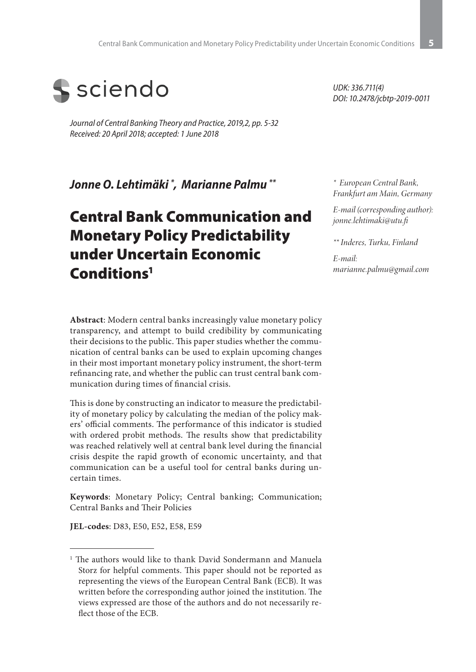

*Journal of Central Banking Theory and Practice, 2019,2, pp. 5-32 Received: 20 April 2018; accepted: 1 June 2018*

*Jonne O. Lehtimäki \* , Marianne Palmu \*\**

# Central Bank Communication and Monetary Policy Predictability under Uncertain Economic Conditions1

**Abstract**: Modern central banks increasingly value monetary policy transparency, and attempt to build credibility by communicating their decisions to the public. This paper studies whether the communication of central banks can be used to explain upcoming changes in their most important monetary policy instrument, the short-term refinancing rate, and whether the public can trust central bank communication during times of financial crisis.

This is done by constructing an indicator to measure the predictability of monetary policy by calculating the median of the policy makers' official comments. The performance of this indicator is studied with ordered probit methods. The results show that predictability was reached relatively well at central bank level during the financial crisis despite the rapid growth of economic uncertainty, and that communication can be a useful tool for central banks during uncertain times.

**Keywords**: Monetary Policy; Central banking; Communication; Central Banks and Their Policies

**JEL-codes**: D83, E50, E52, E58, E59

*UDK: 336.711(4) DOI: 10.2478/jcbtp-2019-0011*

*\* European Central Bank, Frankfurt am Main, Germany* 

*E-mail (corresponding author): jonne.lehtimaki@utu.fi*

*\*\* Inderes, Turku, Finland* 

*E-mail: marianne.palmu@gmail.com*

<sup>&</sup>lt;sup>1</sup> The authors would like to thank David Sondermann and Manuela Storz for helpful comments. This paper should not be reported as representing the views of the European Central Bank (ECB). It was written before the corresponding author joined the institution. The views expressed are those of the authors and do not necessarily reflect those of the ECB.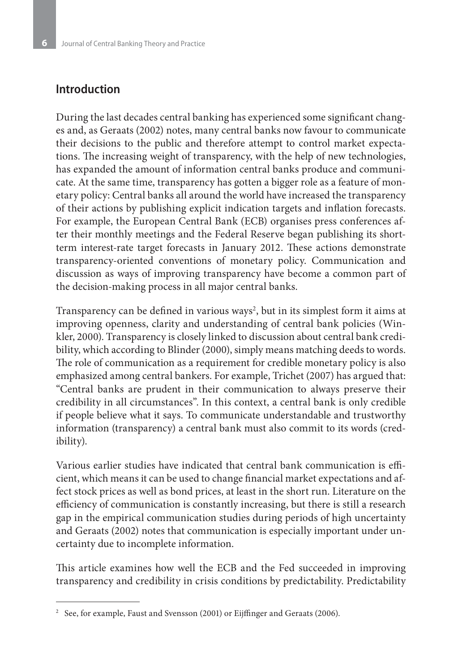## **Introduction**

During the last decades central banking has experienced some significant changes and, as Geraats (2002) notes, many central banks now favour to communicate their decisions to the public and therefore attempt to control market expectations. The increasing weight of transparency, with the help of new technologies, has expanded the amount of information central banks produce and communicate. At the same time, transparency has gotten a bigger role as a feature of monetary policy: Central banks all around the world have increased the transparency of their actions by publishing explicit indication targets and inflation forecasts. For example, the European Central Bank (ECB) organises press conferences after their monthly meetings and the Federal Reserve began publishing its shortterm interest-rate target forecasts in January 2012. These actions demonstrate transparency-oriented conventions of monetary policy. Communication and discussion as ways of improving transparency have become a common part of the decision-making process in all major central banks.

Transparency can be defined in various ways<sup>2</sup>, but in its simplest form it aims at improving openness, clarity and understanding of central bank policies (Winkler, 2000). Transparency is closely linked to discussion about central bank credibility, which according to Blinder (2000), simply means matching deeds to words. The role of communication as a requirement for credible monetary policy is also emphasized among central bankers. For example, Trichet (2007) has argued that: "Central banks are prudent in their communication to always preserve their credibility in all circumstances". In this context, a central bank is only credible if people believe what it says. To communicate understandable and trustworthy information (transparency) a central bank must also commit to its words (credibility).

Various earlier studies have indicated that central bank communication is efficient, which means it can be used to change financial market expectations and affect stock prices as well as bond prices, at least in the short run. Literature on the efficiency of communication is constantly increasing, but there is still a research gap in the empirical communication studies during periods of high uncertainty and Geraats (2002) notes that communication is especially important under uncertainty due to incomplete information.

This article examines how well the ECB and the Fed succeeded in improving transparency and credibility in crisis conditions by predictability. Predictability

<sup>&</sup>lt;sup>2</sup> See, for example, Faust and Svensson (2001) or Eijffinger and Geraats (2006).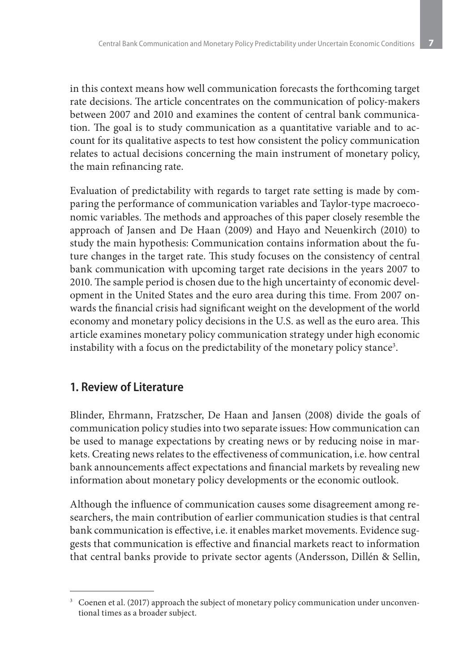in this context means how well communication forecasts the forthcoming target rate decisions. The article concentrates on the communication of policy-makers between 2007 and 2010 and examines the content of central bank communication. The goal is to study communication as a quantitative variable and to account for its qualitative aspects to test how consistent the policy communication relates to actual decisions concerning the main instrument of monetary policy, the main refinancing rate.

Evaluation of predictability with regards to target rate setting is made by comparing the performance of communication variables and Taylor-type macroeconomic variables. The methods and approaches of this paper closely resemble the approach of Jansen and De Haan (2009) and Hayo and Neuenkirch (2010) to study the main hypothesis: Communication contains information about the future changes in the target rate. This study focuses on the consistency of central bank communication with upcoming target rate decisions in the years 2007 to 2010. The sample period is chosen due to the high uncertainty of economic development in the United States and the euro area during this time. From 2007 onwards the financial crisis had significant weight on the development of the world economy and monetary policy decisions in the U.S. as well as the euro area. This article examines monetary policy communication strategy under high economic instability with a focus on the predictability of the monetary policy stance $^3.$ 

## **1. Review of Literature**

Blinder, Ehrmann, Fratzscher, De Haan and Jansen (2008) divide the goals of communication policy studies into two separate issues: How communication can be used to manage expectations by creating news or by reducing noise in markets. Creating news relates to the effectiveness of communication, i.e. how central bank announcements affect expectations and financial markets by revealing new information about monetary policy developments or the economic outlook.

Although the influence of communication causes some disagreement among researchers, the main contribution of earlier communication studies is that central bank communication is effective, i.e. it enables market movements. Evidence suggests that communication is effective and financial markets react to information that central banks provide to private sector agents (Andersson, Dillén & Sellin,

<sup>&</sup>lt;sup>3</sup> Coenen et al. (2017) approach the subject of monetary policy communication under unconventional times as a broader subject.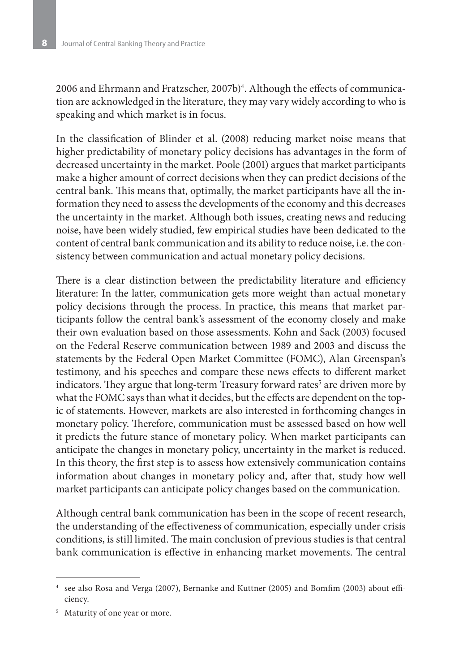2006 and Ehrmann and Fratzscher, 2007b)<sup>4</sup>. Although the effects of communication are acknowledged in the literature, they may vary widely according to who is speaking and which market is in focus.

In the classification of Blinder et al. (2008) reducing market noise means that higher predictability of monetary policy decisions has advantages in the form of decreased uncertainty in the market. Poole (2001) argues that market participants make a higher amount of correct decisions when they can predict decisions of the central bank. This means that, optimally, the market participants have all the information they need to assess the developments of the economy and this decreases the uncertainty in the market. Although both issues, creating news and reducing noise, have been widely studied, few empirical studies have been dedicated to the content of central bank communication and its ability to reduce noise, i.e. the consistency between communication and actual monetary policy decisions.

There is a clear distinction between the predictability literature and efficiency literature: In the latter, communication gets more weight than actual monetary policy decisions through the process. In practice, this means that market participants follow the central bank's assessment of the economy closely and make their own evaluation based on those assessments. Kohn and Sack (2003) focused on the Federal Reserve communication between 1989 and 2003 and discuss the statements by the Federal Open Market Committee (FOMC), Alan Greenspan's testimony, and his speeches and compare these news effects to different market indicators. They argue that long-term Treasury forward rates<sup>5</sup> are driven more by what the FOMC says than what it decides, but the effects are dependent on the topic of statements. However, markets are also interested in forthcoming changes in monetary policy. Therefore, communication must be assessed based on how well it predicts the future stance of monetary policy. When market participants can anticipate the changes in monetary policy, uncertainty in the market is reduced. In this theory, the first step is to assess how extensively communication contains information about changes in monetary policy and, after that, study how well market participants can anticipate policy changes based on the communication.

Although central bank communication has been in the scope of recent research, the understanding of the effectiveness of communication, especially under crisis conditions, is still limited. The main conclusion of previous studies is that central bank communication is effective in enhancing market movements. The central

<sup>4</sup> see also Rosa and Verga (2007), Bernanke and Kuttner (2005) and Bomfim (2003) about efficiency.

<sup>&</sup>lt;sup>5</sup> Maturity of one year or more.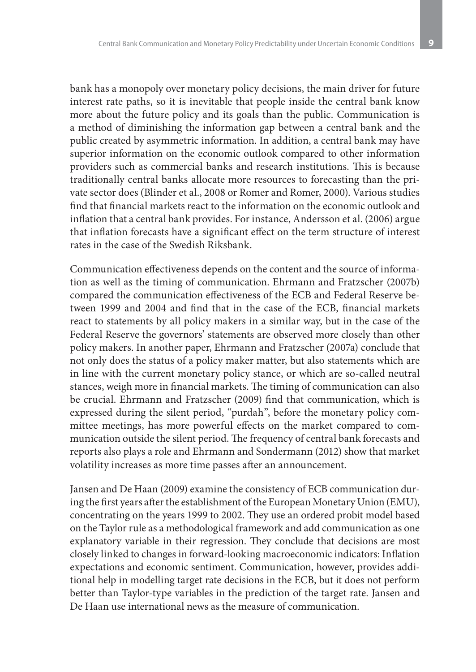bank has a monopoly over monetary policy decisions, the main driver for future interest rate paths, so it is inevitable that people inside the central bank know more about the future policy and its goals than the public. Communication is a method of diminishing the information gap between a central bank and the public created by asymmetric information. In addition, a central bank may have superior information on the economic outlook compared to other information providers such as commercial banks and research institutions. This is because traditionally central banks allocate more resources to forecasting than the private sector does (Blinder et al., 2008 or Romer and Romer, 2000). Various studies find that financial markets react to the information on the economic outlook and inflation that a central bank provides. For instance, Andersson et al. (2006) argue that inflation forecasts have a significant effect on the term structure of interest rates in the case of the Swedish Riksbank.

Communication effectiveness depends on the content and the source of information as well as the timing of communication. Ehrmann and Fratzscher (2007b) compared the communication effectiveness of the ECB and Federal Reserve between 1999 and 2004 and find that in the case of the ECB, financial markets react to statements by all policy makers in a similar way, but in the case of the Federal Reserve the governors' statements are observed more closely than other policy makers. In another paper, Ehrmann and Fratzscher (2007a) conclude that not only does the status of a policy maker matter, but also statements which are in line with the current monetary policy stance, or which are so-called neutral stances, weigh more in financial markets. The timing of communication can also be crucial. Ehrmann and Fratzscher (2009) find that communication, which is expressed during the silent period, "purdah", before the monetary policy committee meetings, has more powerful effects on the market compared to communication outside the silent period. The frequency of central bank forecasts and reports also plays a role and Ehrmann and Sondermann (2012) show that market volatility increases as more time passes after an announcement.

Jansen and De Haan (2009) examine the consistency of ECB communication during the first years after the establishment of the European Monetary Union (EMU), concentrating on the years 1999 to 2002. They use an ordered probit model based on the Taylor rule as a methodological framework and add communication as one explanatory variable in their regression. They conclude that decisions are most closely linked to changes in forward-looking macroeconomic indicators: Inflation expectations and economic sentiment. Communication, however, provides additional help in modelling target rate decisions in the ECB, but it does not perform better than Taylor-type variables in the prediction of the target rate. Jansen and De Haan use international news as the measure of communication.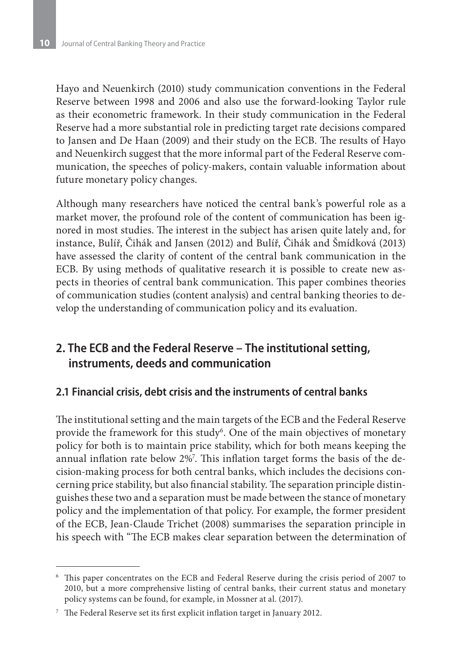Hayo and Neuenkirch (2010) study communication conventions in the Federal Reserve between 1998 and 2006 and also use the forward-looking Taylor rule as their econometric framework. In their study communication in the Federal Reserve had a more substantial role in predicting target rate decisions compared to Jansen and De Haan (2009) and their study on the ECB. The results of Hayo and Neuenkirch suggest that the more informal part of the Federal Reserve communication, the speeches of policy-makers, contain valuable information about future monetary policy changes.

Although many researchers have noticed the central bank's powerful role as a market mover, the profound role of the content of communication has been ignored in most studies. The interest in the subject has arisen quite lately and, for instance, Bulíř, Čihák and Jansen (2012) and Bulíř, Čihák and Šmídková (2013) have assessed the clarity of content of the central bank communication in the ECB. By using methods of qualitative research it is possible to create new aspects in theories of central bank communication. This paper combines theories of communication studies (content analysis) and central banking theories to develop the understanding of communication policy and its evaluation.

## **2. The ECB and the Federal Reserve – The institutional setting, instruments, deeds and communication**

## **2.1 Financial crisis, debt crisis and the instruments of central banks**

The institutional setting and the main targets of the ECB and the Federal Reserve provide the framework for this study<sup>6</sup>. One of the main objectives of monetary policy for both is to maintain price stability, which for both means keeping the annual inflation rate below 2%7 . This inflation target forms the basis of the decision-making process for both central banks, which includes the decisions concerning price stability, but also financial stability. The separation principle distinguishes these two and a separation must be made between the stance of monetary policy and the implementation of that policy. For example, the former president of the ECB, Jean-Claude Trichet (2008) summarises the separation principle in his speech with "The ECB makes clear separation between the determination of

<sup>6</sup> This paper concentrates on the ECB and Federal Reserve during the crisis period of 2007 to 2010, but a more comprehensive listing of central banks, their current status and monetary policy systems can be found, for example, in Mossner at al. (2017).

<sup>7</sup> The Federal Reserve set its first explicit inflation target in January 2012.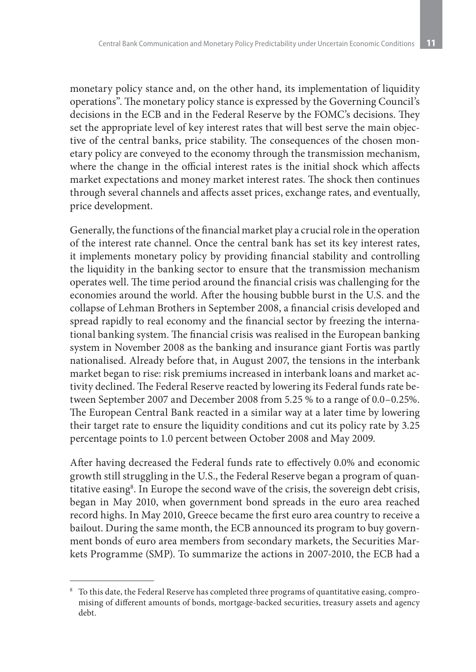monetary policy stance and, on the other hand, its implementation of liquidity operations". The monetary policy stance is expressed by the Governing Council's decisions in the ECB and in the Federal Reserve by the FOMC's decisions. They set the appropriate level of key interest rates that will best serve the main objective of the central banks, price stability. The consequences of the chosen monetary policy are conveyed to the economy through the transmission mechanism, where the change in the official interest rates is the initial shock which affects market expectations and money market interest rates. The shock then continues through several channels and affects asset prices, exchange rates, and eventually, price development.

Generally, the functions of the financial market play a crucial role in the operation of the interest rate channel. Once the central bank has set its key interest rates, it implements monetary policy by providing financial stability and controlling the liquidity in the banking sector to ensure that the transmission mechanism operates well. The time period around the financial crisis was challenging for the economies around the world. After the housing bubble burst in the U.S. and the collapse of Lehman Brothers in September 2008, a financial crisis developed and spread rapidly to real economy and the financial sector by freezing the international banking system. The financial crisis was realised in the European banking system in November 2008 as the banking and insurance giant Fortis was partly nationalised. Already before that, in August 2007, the tensions in the interbank market began to rise: risk premiums increased in interbank loans and market activity declined. The Federal Reserve reacted by lowering its Federal funds rate between September 2007 and December 2008 from 5.25 % to a range of 0.0–0.25%. The European Central Bank reacted in a similar way at a later time by lowering their target rate to ensure the liquidity conditions and cut its policy rate by 3.25 percentage points to 1.0 percent between October 2008 and May 2009.

After having decreased the Federal funds rate to effectively 0.0% and economic growth still struggling in the U.S., the Federal Reserve began a program of quantitative easing<sup>8</sup>. In Europe the second wave of the crisis, the sovereign debt crisis, began in May 2010, when government bond spreads in the euro area reached record highs. In May 2010, Greece became the first euro area country to receive a bailout. During the same month, the ECB announced its program to buy government bonds of euro area members from secondary markets, the Securities Markets Programme (SMP). To summarize the actions in 2007-2010, the ECB had a

 $8$  To this date, the Federal Reserve has completed three programs of quantitative easing, compromising of different amounts of bonds, mortgage-backed securities, treasury assets and agency debt.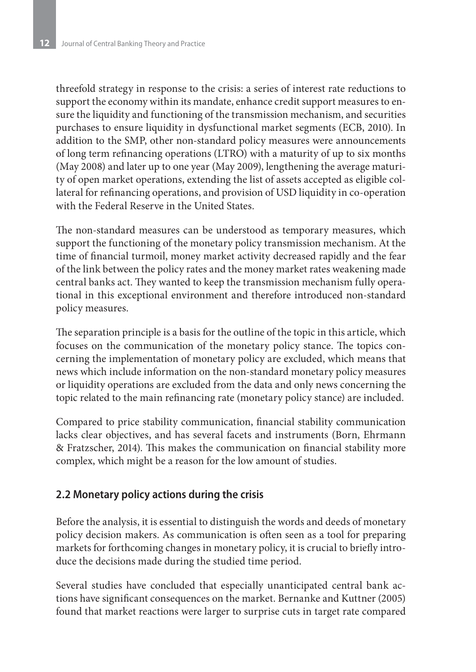threefold strategy in response to the crisis: a series of interest rate reductions to support the economy within its mandate, enhance credit support measures to ensure the liquidity and functioning of the transmission mechanism, and securities purchases to ensure liquidity in dysfunctional market segments (ECB, 2010). In addition to the SMP, other non-standard policy measures were announcements of long term refinancing operations (LTRO) with a maturity of up to six months (May 2008) and later up to one year (May 2009), lengthening the average maturity of open market operations, extending the list of assets accepted as eligible collateral for refinancing operations, and provision of USD liquidity in co-operation with the Federal Reserve in the United States.

The non-standard measures can be understood as temporary measures, which support the functioning of the monetary policy transmission mechanism. At the time of financial turmoil, money market activity decreased rapidly and the fear of the link between the policy rates and the money market rates weakening made central banks act. They wanted to keep the transmission mechanism fully operational in this exceptional environment and therefore introduced non-standard policy measures.

The separation principle is a basis for the outline of the topic in this article, which focuses on the communication of the monetary policy stance. The topics concerning the implementation of monetary policy are excluded, which means that news which include information on the non-standard monetary policy measures or liquidity operations are excluded from the data and only news concerning the topic related to the main refinancing rate (monetary policy stance) are included.

Compared to price stability communication, financial stability communication lacks clear objectives, and has several facets and instruments (Born, Ehrmann & Fratzscher, 2014). This makes the communication on financial stability more complex, which might be a reason for the low amount of studies.

## **2.2 Monetary policy actions during the crisis**

Before the analysis, it is essential to distinguish the words and deeds of monetary policy decision makers. As communication is often seen as a tool for preparing markets for forthcoming changes in monetary policy, it is crucial to briefly introduce the decisions made during the studied time period.

Several studies have concluded that especially unanticipated central bank actions have significant consequences on the market. Bernanke and Kuttner (2005) found that market reactions were larger to surprise cuts in target rate compared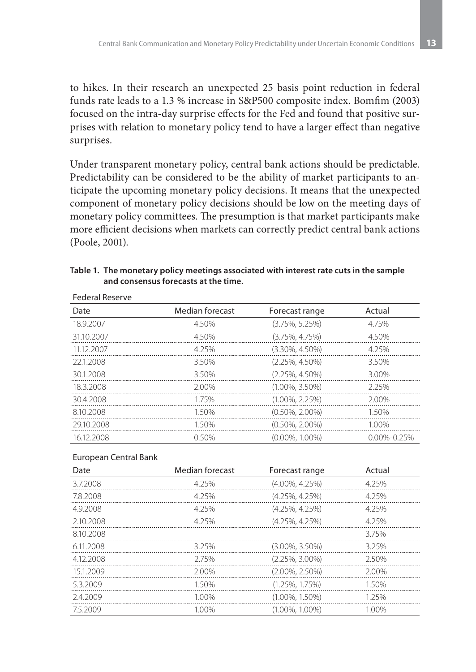to hikes. In their research an unexpected 25 basis point reduction in federal funds rate leads to a 1.3 % increase in S&P500 composite index. Bomfim (2003) focused on the intra-day surprise effects for the Fed and found that positive surprises with relation to monetary policy tend to have a larger effect than negative surprises.

Under transparent monetary policy, central bank actions should be predictable. Predictability can be considered to be the ability of market participants to anticipate the upcoming monetary policy decisions. It means that the unexpected component of monetary policy decisions should be low on the meeting days of monetary policy committees. The presumption is that market participants make more efficient decisions when markets can correctly predict central bank actions (Poole, 2001).

#### **Table 1. The monetary policy meetings associated with interest rate cuts in the sample and consensus forecasts at the time.**

| Date       | Median forecast | Forecast range     | Actual            |  |
|------------|-----------------|--------------------|-------------------|--|
| 18.9.2007  | 4.50%           | $(3.75\%, 5.25\%)$ | 4.75%             |  |
| 31.10.2007 | 4.50%           | $(3.75\%, 4.75\%)$ | 4.50%             |  |
| 11.12.2007 | 4.25%           | $(3.30\%, 4.50\%)$ | 4.25%             |  |
| 22.1.2008  | 3.50%           | $(2.25\%, 4.50\%)$ | 3.50%             |  |
| 30.1.2008  | 3.50%           | $(2.25\%, 4.50\%)$ | 3.00%             |  |
| 18.3.2008  | 2.00%           | $(1.00\%, 3.50\%)$ | 2.25%             |  |
| 30.4.2008  | 175%            | $(1.00\%, 2.25\%)$ | 2.00%             |  |
| 8.10.2008  | 1.50%           | $(0.50\%, 2.00\%)$ | 1.50%             |  |
| 29.10.2008 | 1.50%           | $(0.50\%, 2.00\%)$ | 1.00%             |  |
| 16.12.2008 | 0.50%           | $(0.00\%, 1.00\%)$ | $0.00\% - 0.25\%$ |  |

#### Federal Reserve

#### European Central Bank

| Date      | Median forecast | Forecast range       | Actual |
|-----------|-----------------|----------------------|--------|
| 3.7.2008  | 4.25%           | $(4.00\%, 4.25\%)$   | 4.25%  |
| 7.8.2008  | 4.25%           | $(4.25\%, 4.25\%)$   | 4.25%  |
| 4.9.2008  | 4.25%           | $(4.25\%, 4.25\%)$   | 4.25%  |
| 2.10.2008 | 4 2 5 %         | $(4.25\%, 4.25\%)$   | 4.25%  |
| 8.10.2008 |                 |                      | 3.75%  |
| 6.11.2008 | 3.25%           | $(3.00\%, 3.50\%)$   | 3.25%  |
| 4.12.2008 | 2.75%           | $(2.25\%, 3.00\%)$   | 2.50%  |
| 15.1.2009 | 2.00%           | $(2.00\%, 2.50\%)$   | 2.00%  |
| 5.3.2009  | 1.50%           | $(1.25\%, 1.75\%)$   | 1.50%  |
| 2.4.2009  | 1.00%           | $(1.00\%, 1.50\%)$   | 1.25%  |
| 7.5.2009  | 1.00%           | $(1.00\%$ , $1.00\%$ | 1.00%  |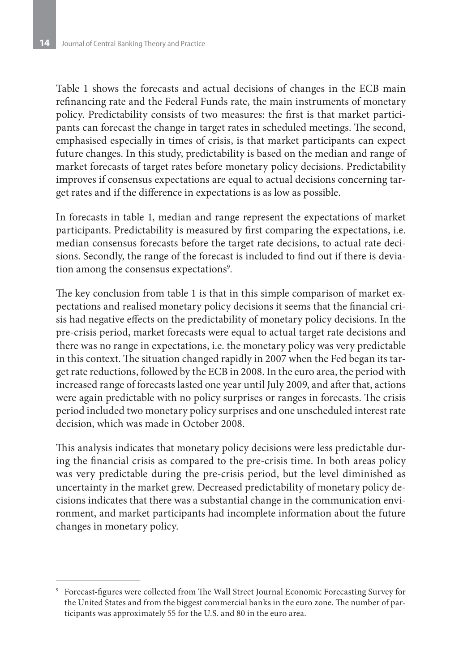Table 1 shows the forecasts and actual decisions of changes in the ECB main refinancing rate and the Federal Funds rate, the main instruments of monetary policy. Predictability consists of two measures: the first is that market participants can forecast the change in target rates in scheduled meetings. The second, emphasised especially in times of crisis, is that market participants can expect future changes. In this study, predictability is based on the median and range of market forecasts of target rates before monetary policy decisions. Predictability improves if consensus expectations are equal to actual decisions concerning target rates and if the difference in expectations is as low as possible.

In forecasts in table 1, median and range represent the expectations of market participants. Predictability is measured by first comparing the expectations, i.e. median consensus forecasts before the target rate decisions, to actual rate decisions. Secondly, the range of the forecast is included to find out if there is deviation among the consensus expectations<sup>9</sup>.

The key conclusion from table 1 is that in this simple comparison of market expectations and realised monetary policy decisions it seems that the financial crisis had negative effects on the predictability of monetary policy decisions. In the pre-crisis period, market forecasts were equal to actual target rate decisions and there was no range in expectations, i.e. the monetary policy was very predictable in this context. The situation changed rapidly in 2007 when the Fed began its target rate reductions, followed by the ECB in 2008. In the euro area, the period with increased range of forecasts lasted one year until July 2009, and after that, actions were again predictable with no policy surprises or ranges in forecasts. The crisis period included two monetary policy surprises and one unscheduled interest rate decision, which was made in October 2008.

This analysis indicates that monetary policy decisions were less predictable during the financial crisis as compared to the pre-crisis time. In both areas policy was very predictable during the pre-crisis period, but the level diminished as uncertainty in the market grew. Decreased predictability of monetary policy decisions indicates that there was a substantial change in the communication environment, and market participants had incomplete information about the future changes in monetary policy.

<sup>9</sup> Forecast-figures were collected from The Wall Street Journal Economic Forecasting Survey for the United States and from the biggest commercial banks in the euro zone. The number of participants was approximately 55 for the U.S. and 80 in the euro area.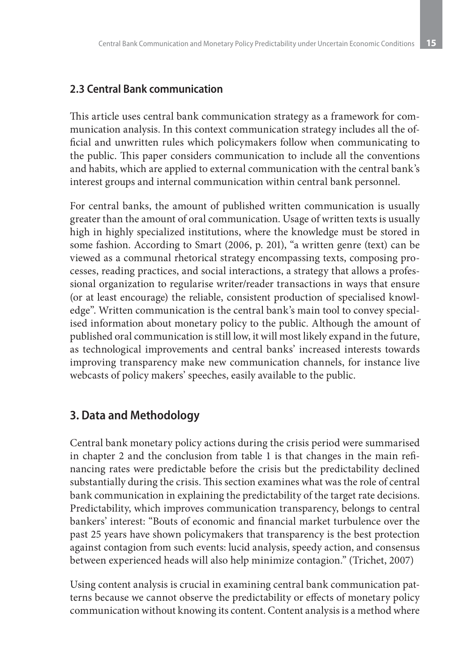## **2.3 Central Bank communication**

This article uses central bank communication strategy as a framework for communication analysis. In this context communication strategy includes all the official and unwritten rules which policymakers follow when communicating to the public. This paper considers communication to include all the conventions and habits, which are applied to external communication with the central bank's interest groups and internal communication within central bank personnel.

For central banks, the amount of published written communication is usually greater than the amount of oral communication. Usage of written texts is usually high in highly specialized institutions, where the knowledge must be stored in some fashion. According to Smart (2006, p. 201), "a written genre (text) can be viewed as a communal rhetorical strategy encompassing texts, composing processes, reading practices, and social interactions, a strategy that allows a professional organization to regularise writer/reader transactions in ways that ensure (or at least encourage) the reliable, consistent production of specialised knowledge". Written communication is the central bank's main tool to convey specialised information about monetary policy to the public. Although the amount of published oral communication is still low, it will most likely expand in the future, as technological improvements and central banks' increased interests towards improving transparency make new communication channels, for instance live webcasts of policy makers' speeches, easily available to the public.

## **3. Data and Methodology**

Central bank monetary policy actions during the crisis period were summarised in chapter 2 and the conclusion from table 1 is that changes in the main refinancing rates were predictable before the crisis but the predictability declined substantially during the crisis. This section examines what was the role of central bank communication in explaining the predictability of the target rate decisions. Predictability, which improves communication transparency, belongs to central bankers' interest: "Bouts of economic and financial market turbulence over the past 25 years have shown policymakers that transparency is the best protection against contagion from such events: lucid analysis, speedy action, and consensus between experienced heads will also help minimize contagion." (Trichet, 2007)

Using content analysis is crucial in examining central bank communication patterns because we cannot observe the predictability or effects of monetary policy communication without knowing its content. Content analysis is a method where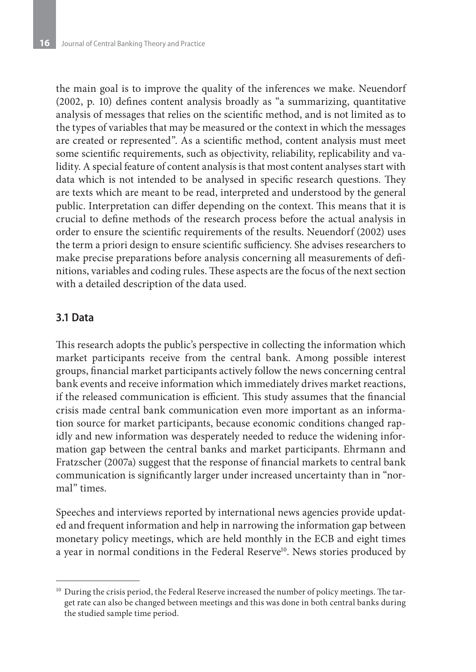the main goal is to improve the quality of the inferences we make. Neuendorf (2002, p. 10) defines content analysis broadly as "a summarizing, quantitative analysis of messages that relies on the scientific method, and is not limited as to the types of variables that may be measured or the context in which the messages are created or represented". As a scientific method, content analysis must meet some scientific requirements, such as objectivity, reliability, replicability and validity. A special feature of content analysis is that most content analyses start with data which is not intended to be analysed in specific research questions. They are texts which are meant to be read, interpreted and understood by the general public. Interpretation can differ depending on the context. This means that it is crucial to define methods of the research process before the actual analysis in order to ensure the scientific requirements of the results. Neuendorf (2002) uses the term a priori design to ensure scientific sufficiency. She advises researchers to make precise preparations before analysis concerning all measurements of definitions, variables and coding rules. These aspects are the focus of the next section with a detailed description of the data used.

## **3.1 Data**

This research adopts the public's perspective in collecting the information which market participants receive from the central bank. Among possible interest groups, financial market participants actively follow the news concerning central bank events and receive information which immediately drives market reactions, if the released communication is efficient. This study assumes that the financial crisis made central bank communication even more important as an information source for market participants, because economic conditions changed rapidly and new information was desperately needed to reduce the widening information gap between the central banks and market participants. Ehrmann and Fratzscher (2007a) suggest that the response of financial markets to central bank communication is significantly larger under increased uncertainty than in "normal" times.

Speeches and interviews reported by international news agencies provide updated and frequent information and help in narrowing the information gap between monetary policy meetings, which are held monthly in the ECB and eight times a year in normal conditions in the Federal Reserve<sup>10</sup>. News stories produced by

<sup>&</sup>lt;sup>10</sup> During the crisis period, the Federal Reserve increased the number of policy meetings. The target rate can also be changed between meetings and this was done in both central banks during the studied sample time period.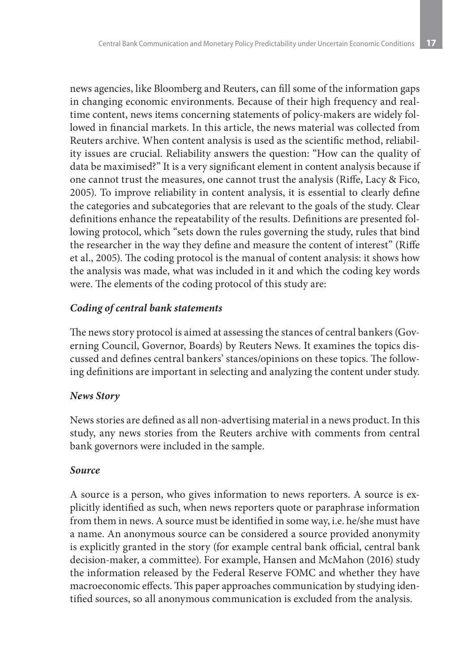news agencies, like Bloomberg and Reuters, can fill some of the information gaps in changing economic environments. Because of their high frequency and realtime content, news items concerning statements of policy-makers are widely followed in financial markets. In this article, the news material was collected from Reuters archive. When content analysis is used as the scientific method, reliability issues are crucial. Reliability answers the question: "How can the quality of data be maximised?" It is a very significant element in content analysis because if one cannot trust the measures, one cannot trust the analysis (Riffe, Lacy & Fico, 2005). To improve reliability in content analysis, it is essential to clearly define the categories and subcategories that are relevant to the goals of the study. Clear definitions enhance the repeatability of the results. Definitions are presented following protocol, which "sets down the rules governing the study, rules that bind the researcher in the way they define and measure the content of interest" (Riffe et al., 2005). The coding protocol is the manual of content analysis: it shows how the analysis was made, what was included in it and which the coding key words were. The elements of the coding protocol of this study are:

## *Coding of central bank statements*

The news story protocol is aimed at assessing the stances of central bankers (Governing Council, Governor, Boards) by Reuters News. It examines the topics discussed and defines central bankers' stances/opinions on these topics. The following definitions are important in selecting and analyzing the content under study.

## *News Story*

News stories are defined as all non-advertising material in a news product. In this study, any news stories from the Reuters archive with comments from central bank governors were included in the sample.

## *Source*

A source is a person, who gives information to news reporters. A source is explicitly identified as such, when news reporters quote or paraphrase information from them in news. A source must be identified in some way, i.e. he/she must have a name. An anonymous source can be considered a source provided anonymity is explicitly granted in the story (for example central bank official, central bank decision-maker, a committee). For example, Hansen and McMahon (2016) study the information released by the Federal Reserve FOMC and whether they have macroeconomic effects. This paper approaches communication by studying identified sources, so all anonymous communication is excluded from the analysis.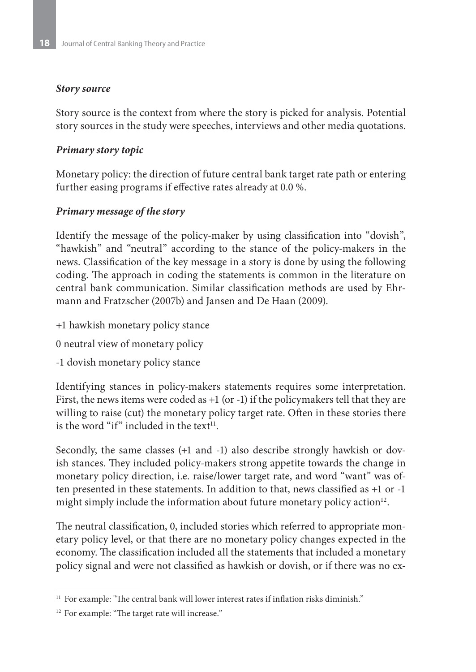### *Story source*

Story source is the context from where the story is picked for analysis. Potential story sources in the study were speeches, interviews and other media quotations.

## *Primary story topic*

Monetary policy: the direction of future central bank target rate path or entering further easing programs if effective rates already at 0.0 %.

## *Primary message of the story*

Identify the message of the policy-maker by using classification into "dovish", "hawkish" and "neutral" according to the stance of the policy-makers in the news. Classification of the key message in a story is done by using the following coding. The approach in coding the statements is common in the literature on central bank communication. Similar classification methods are used by Ehrmann and Fratzscher (2007b) and Jansen and De Haan (2009).

- +1 hawkish monetary policy stance
- 0 neutral view of monetary policy
- -1 dovish monetary policy stance

Identifying stances in policy-makers statements requires some interpretation. First, the news items were coded as +1 (or -1) if the policymakers tell that they are willing to raise (cut) the monetary policy target rate. Often in these stories there is the word "if" included in the text $11$ .

Secondly, the same classes (+1 and -1) also describe strongly hawkish or dovish stances. They included policy-makers strong appetite towards the change in monetary policy direction, i.e. raise/lower target rate, and word "want" was often presented in these statements. In addition to that, news classified as +1 or -1 might simply include the information about future monetary policy action<sup>12</sup>.

The neutral classification, 0, included stories which referred to appropriate monetary policy level, or that there are no monetary policy changes expected in the economy. The classification included all the statements that included a monetary policy signal and were not classified as hawkish or dovish, or if there was no ex-

<sup>&</sup>lt;sup>11</sup> For example: "The central bank will lower interest rates if inflation risks diminish."

<sup>&</sup>lt;sup>12</sup> For example: "The target rate will increase."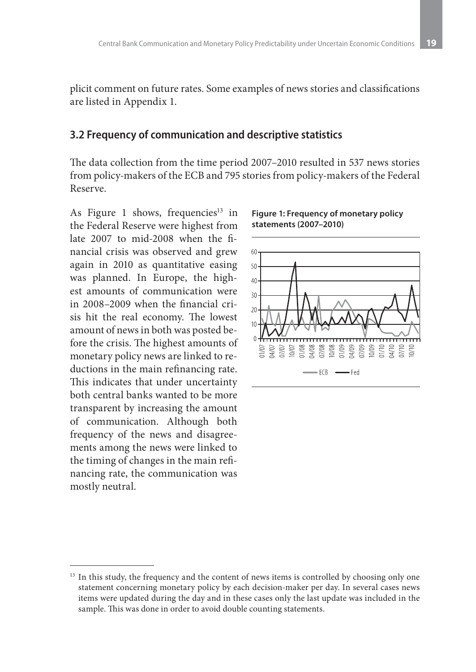plicit comment on future rates. Some examples of news stories and classifications are listed in Appendix 1.

#### **3.2 Frequency of communication and descriptive statistics**

The data collection from the time period 2007–2010 resulted in 537 news stories from policy-makers of the ECB and 795 stories from policy-makers of the Federal Reserve.

As Figure 1 shows, frequencies<sup>13</sup> in the Federal Reserve were highest from late 2007 to mid-2008 when the financial crisis was observed and grew again in 2010 as quantitative easing was planned. In Europe, the highest amounts of communication were in 2008–2009 when the financial crisis hit the real economy. The lowest amount of news in both was posted before the crisis. The highest amounts of monetary policy news are linked to reductions in the main refinancing rate. This indicates that under uncertainty both central banks wanted to be more transparent by increasing the amount of communication. Although both frequency of the news and disagreements among the news were linked to the timing of changes in the main refinancing rate, the communication was mostly neutral.





<sup>&</sup>lt;sup>13</sup> In this study, the frequency and the content of news items is controlled by choosing only one statement concerning monetary policy by each decision-maker per day. In several cases news items were updated during the day and in these cases only the last update was included in the sample. This was done in order to avoid double counting statements.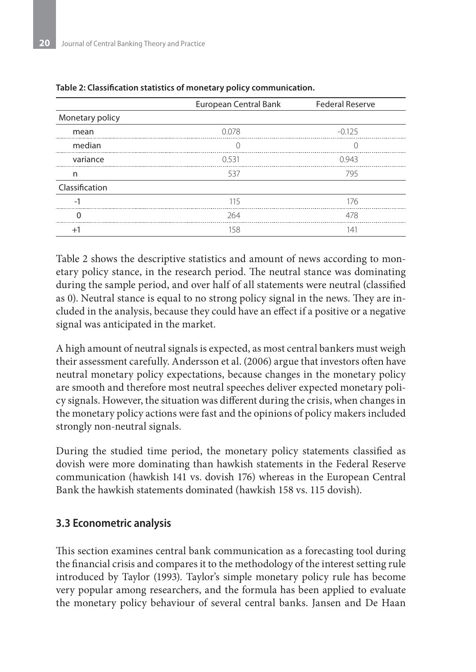|                          | European Central Bank | <b>Federal Reserve</b> |
|--------------------------|-----------------------|------------------------|
| Monetary policy          |                       |                        |
| mean                     | 0.078                 | $-0.125$               |
| median                   | 0                     |                        |
| variance                 | 0.531                 | 0943                   |
| n                        | 537                   | 795                    |
| Classification           |                       |                        |
| $\overline{\phantom{0}}$ | 115                   | 176                    |
| 0                        | 264                   | 478                    |
| $+$                      | 158                   | Ι4΄                    |

#### **Table 2: Classification statistics of monetary policy communication.**

Table 2 shows the descriptive statistics and amount of news according to monetary policy stance, in the research period. The neutral stance was dominating during the sample period, and over half of all statements were neutral (classified as 0). Neutral stance is equal to no strong policy signal in the news. They are included in the analysis, because they could have an effect if a positive or a negative signal was anticipated in the market.

A high amount of neutral signals is expected, as most central bankers must weigh their assessment carefully. Andersson et al. (2006) argue that investors often have neutral monetary policy expectations, because changes in the monetary policy are smooth and therefore most neutral speeches deliver expected monetary policy signals. However, the situation was different during the crisis, when changes in the monetary policy actions were fast and the opinions of policy makers included strongly non-neutral signals.

During the studied time period, the monetary policy statements classified as dovish were more dominating than hawkish statements in the Federal Reserve communication (hawkish 141 vs. dovish 176) whereas in the European Central Bank the hawkish statements dominated (hawkish 158 vs. 115 dovish).

## **3.3 Econometric analysis**

This section examines central bank communication as a forecasting tool during the financial crisis and compares it to the methodology of the interest setting rule introduced by Taylor (1993). Taylor's simple monetary policy rule has become very popular among researchers, and the formula has been applied to evaluate the monetary policy behaviour of several central banks. Jansen and De Haan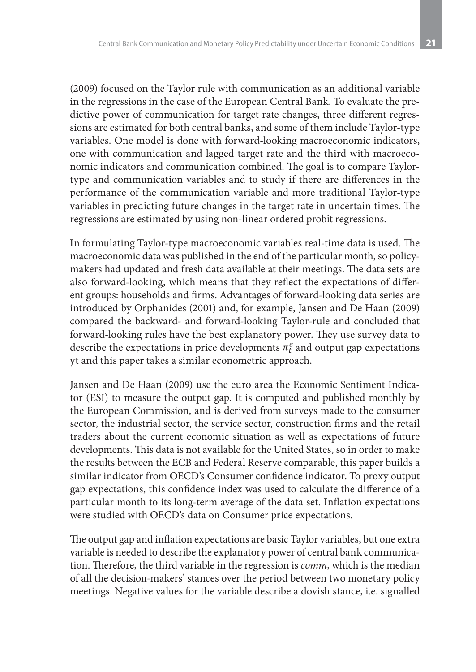(2009) focused on the Taylor rule with communication as an additional variable in the regressions in the case of the European Central Bank. To evaluate the predictive power of communication for target rate changes, three different regressions are estimated for both central banks, and some of them include Taylor-type variables. One model is done with forward-looking macroeconomic indicators, one with communication and lagged target rate and the third with macroeconomic indicators and communication combined. The goal is to compare Taylortype and communication variables and to study if there are differences in the performance of the communication variable and more traditional Taylor-type variables in predicting future changes in the target rate in uncertain times. The regressions are estimated by using non-linear ordered probit regressions.

In formulating Taylor-type macroeconomic variables real-time data is used. The macroeconomic data was published in the end of the particular month, so policymakers had updated and fresh data available at their meetings. The data sets are also forward-looking, which means that they reflect the expectations of different groups: households and firms. Advantages of forward-looking data series are introduced by Orphanides (2001) and, for example, Jansen and De Haan (2009) compared the backward- and forward-looking Taylor-rule and concluded that forward-looking rules have the best explanatory power. They use survey data to describe the expectations in price developments  $\pi_t^e$  and output gap expectations yt and this paper takes a similar econometric approach.

Jansen and De Haan (2009) use the euro area the Economic Sentiment Indicator (ESI) to measure the output gap. It is computed and published monthly by the European Commission, and is derived from surveys made to the consumer sector, the industrial sector, the service sector, construction firms and the retail traders about the current economic situation as well as expectations of future developments. This data is not available for the United States, so in order to make the results between the ECB and Federal Reserve comparable, this paper builds a similar indicator from OECD's Consumer confidence indicator. To proxy output gap expectations, this confidence index was used to calculate the difference of a particular month to its long-term average of the data set. Inflation expectations were studied with OECD's data on Consumer price expectations.

The output gap and inflation expectations are basic Taylor variables, but one extra variable is needed to describe the explanatory power of central bank communication. Therefore, the third variable in the regression is *comm*, which is the median of all the decision-makers' stances over the period between two monetary policy meetings. Negative values for the variable describe a dovish stance, i.e. signalled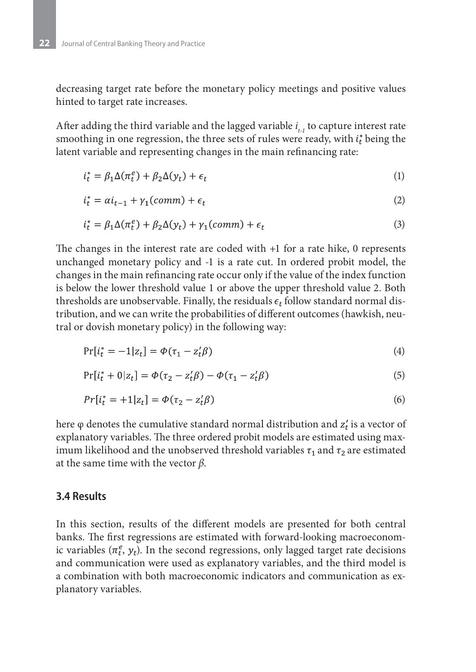decreasing target rate before the monetary policy meetings and positive values hinted to target rate increases.

After adding the third variable and the lagged variable *i t-1* to capture interest rate smoothing in one regression, the three sets of rules were ready, with  $i_t^*$  being the latent variable and representing changes in the main refinancing rate:

$$
i_t^* = \beta_1 \Delta(\pi_t^e) + \beta_2 \Delta(y_t) + \epsilon_t \tag{1}
$$

$$
i_t^* = \alpha i_{t-1} + \gamma_1 (comm) + \epsilon_t \tag{2}
$$

$$
i_t^* = \beta_1 \Delta(\pi_t^e) + \beta_2 \Delta(y_t) + \gamma_1(\text{comm}) + \epsilon_t \tag{3}
$$

The changes in the interest rate are coded with +1 for a rate hike, 0 represents unchanged monetary policy and -1 is a rate cut. In ordered probit model, the changes in the main refinancing rate occur only if the value of the index function is below the lower threshold value 1 or above the upper threshold value 2. Both thresholds are unobservable. Finally, the residuals  $\epsilon_t$  follow standard normal distribution, and we can write the probabilities of different outcomes (hawkish, neutral or dovish monetary policy) in the following way:

$$
Pr[i_t^* = -1|z_t] = \Phi(\tau_1 - z_t'\beta)
$$
\n(4)

$$
Pr[i_t^* + 0|z_t] = \Phi(\tau_2 - z_t^{\prime}\beta) - \Phi(\tau_1 - z_t^{\prime}\beta)
$$
\n(5)

$$
Pr[i_t^* = +1|z_t] = \Phi(\tau_2 - z_t'\beta)
$$
\n(6)

here  $\varphi$  denotes the cumulative standard normal distribution and  $z_t$  is a vector of explanatory variables. The three ordered probit models are estimated using maximum likelihood and the unobserved threshold variables  $\tau_1$  and  $\tau_2$  are estimated at the same time with the vector *β*.

## **3.4 Results**

In this section, results of the different models are presented for both central banks. The first regressions are estimated with forward-looking macroeconomic variables  $(\pi_t^e, y_t)$ . In the second regressions, only lagged target rate decisions and communication were used as explanatory variables, and the third model is a combination with both macroeconomic indicators and communication as explanatory variables.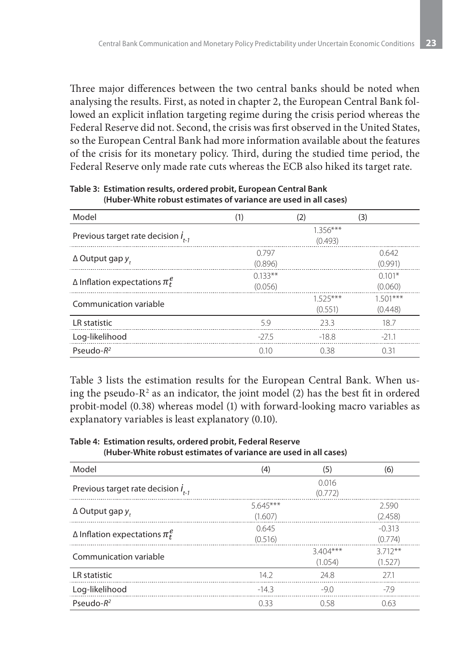Three major differences between the two central banks should be noted when analysing the results. First, as noted in chapter 2, the European Central Bank followed an explicit inflation targeting regime during the crisis period whereas the Federal Reserve did not. Second, the crisis was first observed in the United States, so the European Central Bank had more information available about the features of the crisis for its monetary policy. Third, during the studied time period, the Federal Reserve only made rate cuts whereas the ECB also hiked its target rate.

| Model                                     | (1)       | (2)        | (3)        |
|-------------------------------------------|-----------|------------|------------|
| Previous target rate decision $I_{t-1}$   |           | $1.356***$ |            |
|                                           |           | (0.493)    |            |
|                                           | 0.797     |            | 0.642      |
| $\Delta$ Output gap y,                    | (0.896)   |            | (0.991)    |
|                                           | $0.133**$ |            | $0.101*$   |
| $\Delta$ Inflation expectations $\pi_t^e$ | (0.056)   |            | (0.060)    |
| Communication variable                    |           | $1525***$  | $1.501***$ |
|                                           |           | (0.551)    | (0.448)    |
| LR statistic                              | 59        | 233        | 187        |
| Log-likelihood                            | $-275$    | $-18.8$    | -211       |
| Pseudo- $R^2$                             | 0.10      | 038        | 0.31       |

**Table 3: Estimation results, ordered probit, European Central Bank (Huber-White robust estimates of variance are used in all cases)**

Table 3 lists the estimation results for the European Central Bank. When using the pseudo- $R^2$  as an indicator, the joint model (2) has the best fit in ordered probit-model (0.38) whereas model (1) with forward-looking macro variables as explanatory variables is least explanatory (0.10).

**Table 4: Estimation results, ordered probit, Federal Reserve (Huber-White robust estimates of variance are used in all cases)**

| Model                                     | (4)                  | (5)                  | (6)                 |
|-------------------------------------------|----------------------|----------------------|---------------------|
| Previous target rate decision $I_{t-1}$   |                      | 0.016<br>(0.772)     |                     |
| $\Delta$ Output gap y,                    | $5645***$<br>(1.607) |                      | 2.590<br>(2.458)    |
| $\Delta$ Inflation expectations $\pi_t^e$ | 0.645<br>(0.516)     |                      | $-0.313$<br>(0.774) |
| Communication variable                    |                      | $3404***$<br>(1.054) | $3712**$<br>(1.527) |
| LR statistic                              | 14.2                 | 248                  | 27.1                |
| Log-likelihood                            | $-143$               | $-90$                | -79                 |
| Pseudo- $R^2$                             | 0.33                 | O 58                 | 0.63                |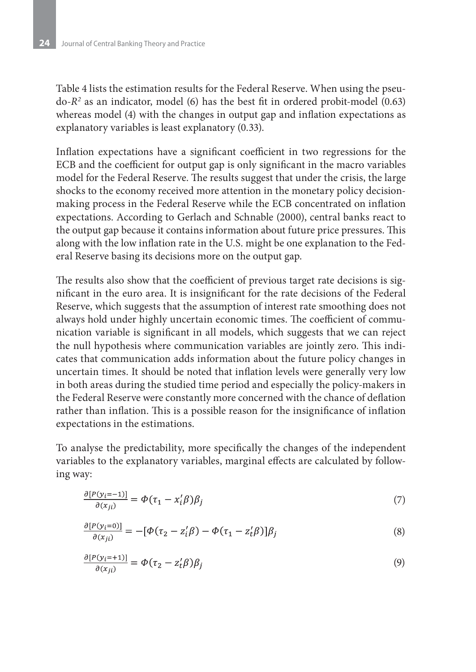Table 4 lists the estimation results for the Federal Reserve. When using the pseudo-*R2* as an indicator, model (6) has the best fit in ordered probit-model (0.63) whereas model (4) with the changes in output gap and inflation expectations as explanatory variables is least explanatory (0.33).

Inflation expectations have a significant coefficient in two regressions for the ECB and the coefficient for output gap is only significant in the macro variables model for the Federal Reserve. The results suggest that under the crisis, the large shocks to the economy received more attention in the monetary policy decisionmaking process in the Federal Reserve while the ECB concentrated on inflation expectations. According to Gerlach and Schnable (2000), central banks react to the output gap because it contains information about future price pressures. This along with the low inflation rate in the U.S. might be one explanation to the Federal Reserve basing its decisions more on the output gap.

The results also show that the coefficient of previous target rate decisions is significant in the euro area. It is insignificant for the rate decisions of the Federal Reserve, which suggests that the assumption of interest rate smoothing does not always hold under highly uncertain economic times. The coefficient of communication variable is significant in all models, which suggests that we can reject the null hypothesis where communication variables are jointly zero. This indicates that communication adds information about the future policy changes in uncertain times. It should be noted that inflation levels were generally very low in both areas during the studied time period and especially the policy-makers in the Federal Reserve were constantly more concerned with the chance of deflation rather than inflation. This is a possible reason for the insignificance of inflation expectations in the estimations.

To analyse the predictability, more specifically the changes of the independent variables to the explanatory variables, marginal effects are calculated by following way:

$$
\frac{\partial [P(y_i = -1)]}{\partial (x_{ji})} = \Phi(\tau_1 - x_i' \beta) \beta_j \tag{7}
$$

$$
\frac{\partial [P(y_i=0)]}{\partial (x_{ji})} = -[\Phi(\tau_2 - z_i'\beta) - \Phi(\tau_1 - z_i'\beta)]\beta_j \tag{8}
$$

$$
\frac{\partial [P(y_i=+1)]}{\partial (x_{ji})} = \Phi(\tau_2 - z'_t \beta) \beta_j \tag{9}
$$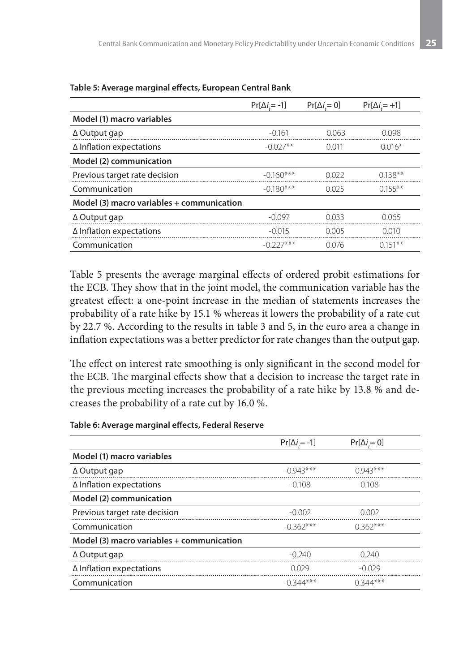|                                           | $Pr[\Delta i = -1]$ | $Pr[\Delta i = 0]$ | $Pr[\Delta i = +1]$ |
|-------------------------------------------|---------------------|--------------------|---------------------|
| Model (1) macro variables                 |                     |                    |                     |
| $\Delta$ Output gap                       | $-0.161$            | 0.063              | 0.098               |
| $\Delta$ Inflation expectations           | $-0.027**$          | 0.011              | $0.016*$            |
| Model (2) communication                   |                     |                    |                     |
| Previous target rate decision             | $-0.160***$         | 0.022              | $0.138**$           |
| Communication                             | $-0.180***$         | 0.025              | $0.155***$          |
| Model (3) macro variables + communication |                     |                    |                     |
| $\Delta$ Output gap                       | $-0.097$            | 0.033              | 0.065               |
| $\Delta$ Inflation expectations           | $-0.015$            | 0.005              | 0.010               |
| Communication                             | $-(1)$ 227***       | 0.076              | $0.151**$           |

#### **Table 5: Average marginal effects, European Central Bank**

Table 5 presents the average marginal effects of ordered probit estimations for the ECB. They show that in the joint model, the communication variable has the greatest effect: a one-point increase in the median of statements increases the probability of a rate hike by 15.1 % whereas it lowers the probability of a rate cut by 22.7 %. According to the results in table 3 and 5, in the euro area a change in inflation expectations was a better predictor for rate changes than the output gap.

The effect on interest rate smoothing is only significant in the second model for the ECB. The marginal effects show that a decision to increase the target rate in the previous meeting increases the probability of a rate hike by 13.8 % and decreases the probability of a rate cut by 16.0 %.

#### **Table 6: Average marginal effects, Federal Reserve**

|                                           | $Pr[\Delta i = -1]$ | $Pr[\Delta i = 0]$ |  |
|-------------------------------------------|---------------------|--------------------|--|
| Model (1) macro variables                 |                     |                    |  |
| $\Delta$ Output gap                       | $-0.943***$         | $(1943***$         |  |
| $\Delta$ Inflation expectations           | $-0.108$            | 0.108              |  |
| Model (2) communication                   |                     |                    |  |
| Previous target rate decision             | $-0.002$            | 0.002              |  |
| Communication                             | $-0.362***$         | $0.362***$         |  |
| Model (3) macro variables + communication |                     |                    |  |
| $\Delta$ Output gap                       | $-0.240$            | 0.240              |  |
| $\Delta$ Inflation expectations           | 0.029               | $-0.029$           |  |
| Communication                             | $-(0.344**$         | $0.344***$         |  |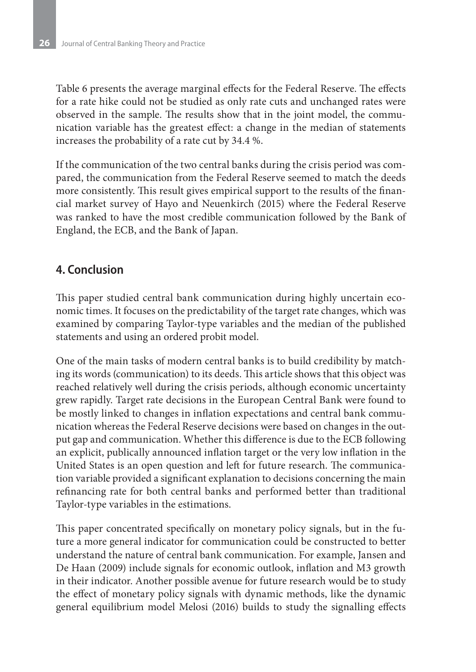Table 6 presents the average marginal effects for the Federal Reserve. The effects for a rate hike could not be studied as only rate cuts and unchanged rates were observed in the sample. The results show that in the joint model, the communication variable has the greatest effect: a change in the median of statements increases the probability of a rate cut by 34.4 %.

If the communication of the two central banks during the crisis period was compared, the communication from the Federal Reserve seemed to match the deeds more consistently. This result gives empirical support to the results of the financial market survey of Hayo and Neuenkirch (2015) where the Federal Reserve was ranked to have the most credible communication followed by the Bank of England, the ECB, and the Bank of Japan.

## **4. Conclusion**

This paper studied central bank communication during highly uncertain economic times. It focuses on the predictability of the target rate changes, which was examined by comparing Taylor-type variables and the median of the published statements and using an ordered probit model.

One of the main tasks of modern central banks is to build credibility by matching its words (communication) to its deeds. This article shows that this object was reached relatively well during the crisis periods, although economic uncertainty grew rapidly. Target rate decisions in the European Central Bank were found to be mostly linked to changes in inflation expectations and central bank communication whereas the Federal Reserve decisions were based on changes in the output gap and communication. Whether this difference is due to the ECB following an explicit, publically announced inflation target or the very low inflation in the United States is an open question and left for future research. The communication variable provided a significant explanation to decisions concerning the main refinancing rate for both central banks and performed better than traditional Taylor-type variables in the estimations.

This paper concentrated specifically on monetary policy signals, but in the future a more general indicator for communication could be constructed to better understand the nature of central bank communication. For example, Jansen and De Haan (2009) include signals for economic outlook, inflation and M3 growth in their indicator. Another possible avenue for future research would be to study the effect of monetary policy signals with dynamic methods, like the dynamic general equilibrium model Melosi (2016) builds to study the signalling effects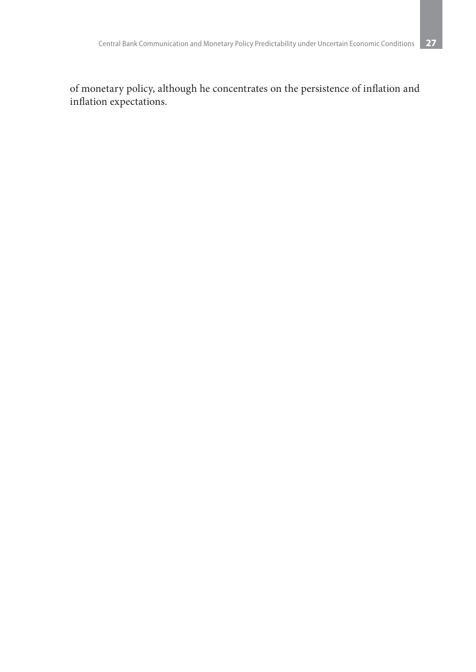of monetary policy, although he concentrates on the persistence of inflation and inflation expectations.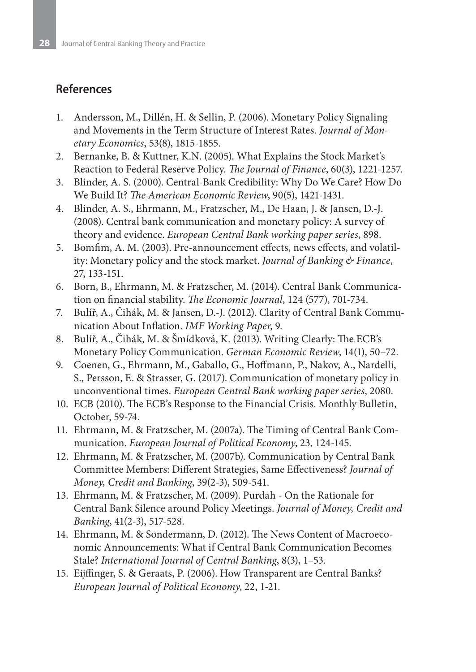## **References**

- 1. Andersson, M., Dillén, H. & Sellin, P. (2006). Monetary Policy Signaling and Movements in the Term Structure of Interest Rates. *Journal of Monetary Economics*, 53(8), 1815-1855.
- 2. Bernanke, B. & Kuttner, K.N. (2005). What Explains the Stock Market's Reaction to Federal Reserve Policy. *The Journal of Finance*, 60(3), 1221-1257.
- 3. Blinder, A. S. (2000). Central-Bank Credibility: Why Do We Care? How Do We Build It? *The American Economic Review*, 90(5), 1421-1431.
- 4. Blinder, A. S., Ehrmann, M., Fratzscher, M., De Haan, J. & Jansen, D.-J. (2008). Central bank communication and monetary policy: A survey of theory and evidence. *European Central Bank working paper series*, 898.
- 5. Bomfim, A. M. (2003). Pre-announcement effects, news effects, and volatility: Monetary policy and the stock market. *Journal of Banking & Finance*, 27, 133-151.
- 6. Born, B., Ehrmann, M. & Fratzscher, M. (2014). Central Bank Communication on financial stability. *The Economic Journal*, 124 (577), 701-734.
- 7. Bulíř, A., Čihák, M. & Jansen, D.-J. (2012). Clarity of Central Bank Communication About Inflation. *IMF Working Paper*, 9.
- 8. Bulíř, A., Čihák, M. & Šmídková, K. (2013). Writing Clearly: The ECB's Monetary Policy Communication. *German Economic Review*, 14(1), 50–72.
- 9. Coenen, G., Ehrmann, M., Gaballo, G., Hoffmann, P., Nakov, A., Nardelli, S., Persson, E. & Strasser, G. (2017). Communication of monetary policy in unconventional times. *European Central Bank working paper series*, 2080.
- 10. ECB (2010). The ECB's Response to the Financial Crisis. Monthly Bulletin, October, 59-74.
- 11. Ehrmann, M. & Fratzscher, M. (2007a). The Timing of Central Bank Communication. *European Journal of Political Economy*, 23, 124-145.
- 12. Ehrmann, M. & Fratzscher, M. (2007b). Communication by Central Bank Committee Members: Different Strategies, Same Effectiveness? *Journal of Money, Credit and Banking*, 39(2-3), 509-541.
- 13. Ehrmann, M. & Fratzscher, M. (2009). Purdah On the Rationale for Central Bank Silence around Policy Meetings. *Journal of Money, Credit and Banking*, 41(2-3), 517-528.
- 14. Ehrmann, M. & Sondermann, D. (2012). The News Content of Macroeconomic Announcements: What if Central Bank Communication Becomes Stale? *International Journal of Central Banking*, 8(3), 1–53.
- 15. Eijffinger, S. & Geraats, P. (2006). How Transparent are Central Banks? *European Journal of Political Economy*, 22, 1-21.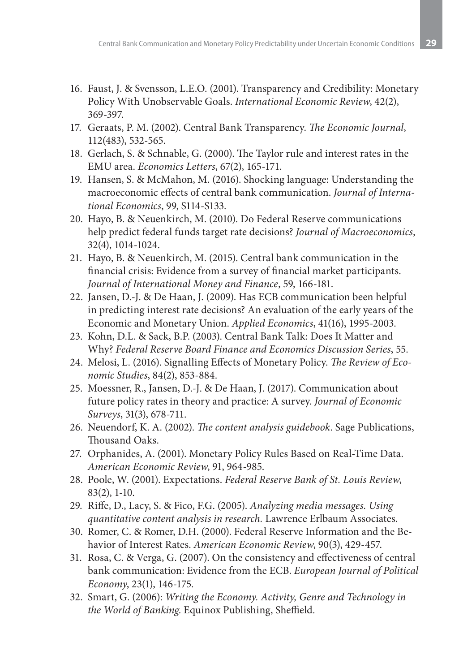- 16. Faust, J. & Svensson, L.E.O. (2001). Transparency and Credibility: Monetary Policy With Unobservable Goals. *International Economic Review*, 42(2), 369-397.
- 17. Geraats, P. M. (2002). Central Bank Transparency. *The Economic Journal*, 112(483), 532-565.
- 18. Gerlach, S. & Schnable, G. (2000). The Taylor rule and interest rates in the EMU area. *Economics Letters*, 67(2), 165-171.
- 19. Hansen, S. & McMahon, M. (2016). Shocking language: Understanding the macroeconomic effects of central bank communication. *Journal of International Economics*, 99, S114-S133.
- 20. Hayo, B. & Neuenkirch, M. (2010). Do Federal Reserve communications help predict federal funds target rate decisions? *Journal of Macroeconomics*, 32(4), 1014-1024.
- 21. Hayo, B. & Neuenkirch, M. (2015). Central bank communication in the financial crisis: Evidence from a survey of financial market participants. *Journal of International Money and Finance*, 59, 166-181.
- 22. Jansen, D.-J. & De Haan, J. (2009). Has ECB communication been helpful in predicting interest rate decisions? An evaluation of the early years of the Economic and Monetary Union. *Applied Economics*, 41(16), 1995-2003.
- 23. Kohn, D.L. & Sack, B.P. (2003). Central Bank Talk: Does It Matter and Why? *Federal Reserve Board Finance and Economics Discussion Series*, 55.
- 24. Melosi, L. (2016). Signalling Effects of Monetary Policy. *The Review of Economic Studies*, 84(2), 853-884.
- 25. Moessner, R., Jansen, D.-J. & De Haan, J. (2017). Communication about future policy rates in theory and practice: A survey. *Journal of Economic Surveys*, 31(3), 678-711.
- 26. Neuendorf, K. A. (2002). *The content analysis guidebook*. Sage Publications, Thousand Oaks.
- 27. Orphanides, A. (2001). Monetary Policy Rules Based on Real-Time Data. *American Economic Review*, 91, 964-985.
- 28. Poole, W. (2001). Expectations. *Federal Reserve Bank of St. Louis Review*, 83(2), 1-10.
- 29. Riffe, D., Lacy, S. & Fico, F.G. (2005). *Analyzing media messages. Using quantitative content analysis in research.* Lawrence Erlbaum Associates.
- 30. Romer, C. & Romer, D.H. (2000). Federal Reserve Information and the Behavior of Interest Rates. *American Economic Review*, 90(3), 429-457.
- 31. Rosa, C. & Verga, G. (2007). On the consistency and effectiveness of central bank communication: Evidence from the ECB. *European Journal of Political Economy*, 23(1), 146-175.
- 32. Smart, G. (2006): *Writing the Economy. Activity, Genre and Technology in the World of Banking*. Equinox Publishing, Sheffield.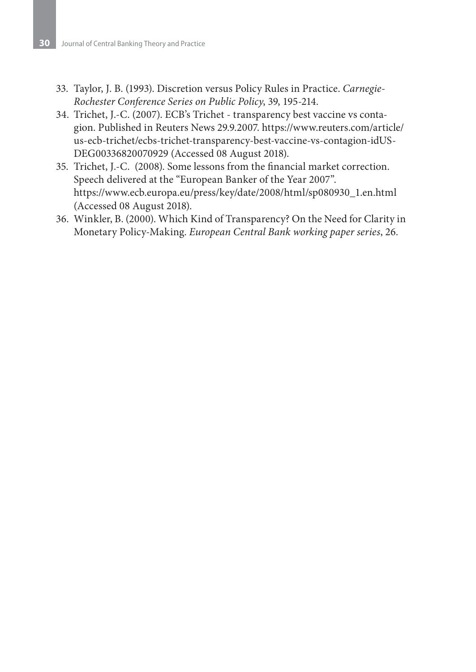- 33. Taylor, J. B. (1993). Discretion versus Policy Rules in Practice. *Carnegie-Rochester Conference Series on Public Policy*, 39, 195-214.
- 34. Trichet, J.-C. (2007). ECB's Trichet transparency best vaccine vs contagion. Published in Reuters News 29.9.2007. https://www.reuters.com/article/ us-ecb-trichet/ecbs-trichet-transparency-best-vaccine-vs-contagion-idUS-DEG00336820070929 (Accessed 08 August 2018).
- 35. Trichet, J.-C. (2008). Some lessons from the financial market correction. Speech delivered at the "European Banker of the Year 2007". https://www.ecb.europa.eu/press/key/date/2008/html/sp080930\_1.en.html (Accessed 08 August 2018).
- 36. Winkler, B. (2000). Which Kind of Transparency? On the Need for Clarity in Monetary Policy-Making. *European Central Bank working paper series*, 26.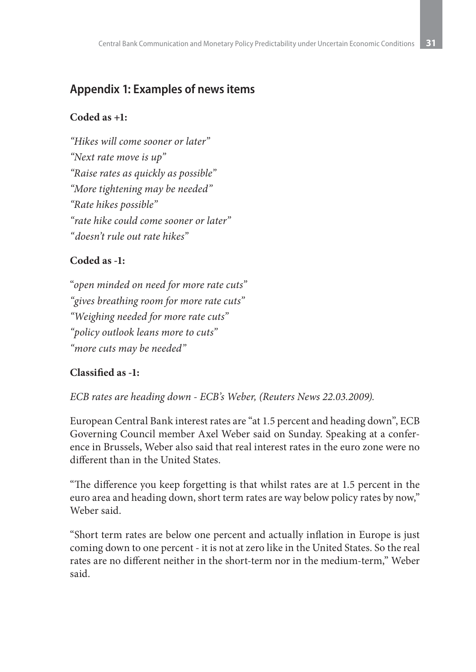## **Appendix 1: Examples of news items**

## **Coded as +1:**

*"Hikes will come sooner or later" "Next rate move is up" "Raise rates as quickly as possible" "More tightening may be needed" "Rate hikes possible" "rate hike could come sooner or later" "doesn't rule out rate hikes"*

## **Coded as -1:**

"*open minded on need for more rate cuts" "gives breathing room for more rate cuts" "Weighing needed for more rate cuts" "policy outlook leans more to cuts" "more cuts may be needed"*

## **Classified as -1:**

*ECB rates are heading down - ECB's Weber, (Reuters News 22.03.2009).*

European Central Bank interest rates are "at 1.5 percent and heading down", ECB Governing Council member Axel Weber said on Sunday. Speaking at a conference in Brussels, Weber also said that real interest rates in the euro zone were no different than in the United States.

"The difference you keep forgetting is that whilst rates are at 1.5 percent in the euro area and heading down, short term rates are way below policy rates by now," Weber said.

"Short term rates are below one percent and actually inflation in Europe is just coming down to one percent - it is not at zero like in the United States. So the real rates are no different neither in the short-term nor in the medium-term," Weber said.